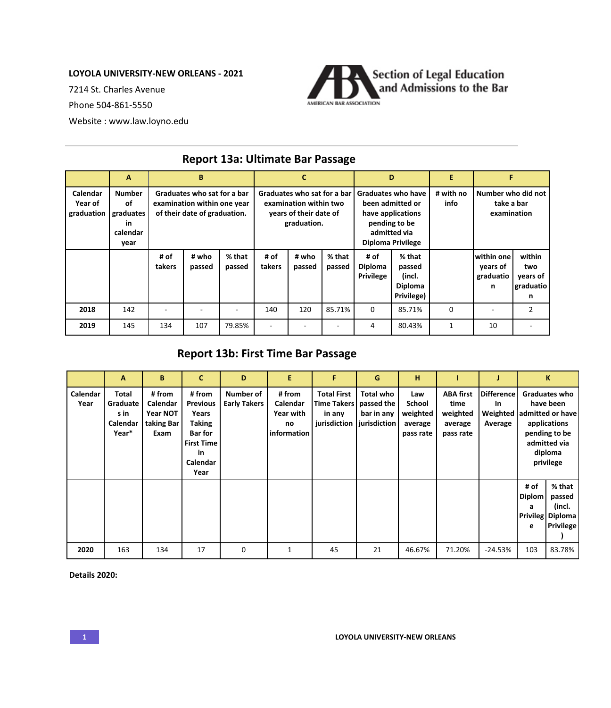## **LOYOLA UNIVERSITY-NEW ORLEANS - 2021**

7214 St. Charles Avenue

Phone 504-861-5550

Website : www.law.loyno.edu



|                                   | A                                                           | B                                                                                          |                 |                  |                                                                                                |                 | D                |                                                                                                                                 | E                                                   |                   |                                                 |                                             |
|-----------------------------------|-------------------------------------------------------------|--------------------------------------------------------------------------------------------|-----------------|------------------|------------------------------------------------------------------------------------------------|-----------------|------------------|---------------------------------------------------------------------------------------------------------------------------------|-----------------------------------------------------|-------------------|-------------------------------------------------|---------------------------------------------|
| Calendar<br>Year of<br>graduation | <b>Number</b><br>οf<br>graduates<br>in.<br>calendar<br>year | Graduates who sat for a bar<br>examination within one year<br>of their date of graduation. |                 |                  | Graduates who sat for a bar<br>examination within two<br>years of their date of<br>graduation. |                 |                  | <b>Graduates who have</b><br>been admitted or<br>have applications<br>pending to be<br>admitted via<br><b>Diploma Privilege</b> |                                                     | # with no<br>info | Number who did not<br>take a bar<br>examination |                                             |
|                                   |                                                             | # of<br>takers                                                                             | # who<br>passed | % that<br>passed | # of<br>takers                                                                                 | # who<br>passed | % that<br>passed | # of<br><b>Diploma</b><br><b>Privilege</b>                                                                                      | % that<br>passed<br>(incl.<br>Diploma<br>Privilege) |                   | within one<br>years of<br>graduatio<br>n        | within<br>two<br>years of<br>graduatio<br>n |
| 2018                              | 142                                                         |                                                                                            |                 |                  | 140                                                                                            | 120             | 85.71%           | 0                                                                                                                               | 85.71%                                              | 0                 |                                                 | $\mathcal{P}$                               |
| 2019                              | 145                                                         | 134                                                                                        | 107             | 79.85%           |                                                                                                |                 |                  | 4                                                                                                                               | 80.43%                                              | 1                 | 10                                              |                                             |

## **Report 13a: Ultimate Bar Passage**

## **Report 13b: First Time Bar Passage**

|                  | A                                              | B                                                    | C                                                                                                                    | D                                | E                                                    | F                                                                                 | G                                            | н                                                 |                                                              |                                     |                                                                                                                                  | K                                                                  |
|------------------|------------------------------------------------|------------------------------------------------------|----------------------------------------------------------------------------------------------------------------------|----------------------------------|------------------------------------------------------|-----------------------------------------------------------------------------------|----------------------------------------------|---------------------------------------------------|--------------------------------------------------------------|-------------------------------------|----------------------------------------------------------------------------------------------------------------------------------|--------------------------------------------------------------------|
| Calendar<br>Year | Total<br>Graduate<br>s in<br>Calendar<br>Year* | # from<br>Calendar<br>Year NOT<br>taking Bar<br>Exam | # from<br><b>Previous</b><br>Years<br><b>Taking</b><br><b>Bar for</b><br><b>First Time</b><br>in<br>Calendar<br>Year | Number of<br><b>Early Takers</b> | # from<br>Calendar<br>Year with<br>no<br>information | <b>Total First</b><br><b>Time Takers</b><br>in any<br>jurisdiction   jurisdiction | <b>Total who</b><br>passed the<br>bar in any | Law<br>School<br>weighted<br>average<br>pass rate | <b>ABA first</b><br>time<br>weighted<br>average<br>pass rate | <b>Difference</b><br>In.<br>Average | Graduates who<br>have been<br>Weighted admitted or have<br>applications<br>pending to be<br>admitted via<br>diploma<br>privilege |                                                                    |
|                  |                                                |                                                      |                                                                                                                      |                                  |                                                      |                                                                                   |                                              |                                                   |                                                              |                                     | # of<br><b>Diplom</b><br>a<br>е                                                                                                  | % that<br>passed<br>(incl.<br>Privileg Diploma<br><b>Privilege</b> |
| 2020             | 163                                            | 134                                                  | 17                                                                                                                   | 0                                | 1                                                    | 45                                                                                | 21                                           | 46.67%                                            | 71.20%                                                       | $-24.53%$                           | 103                                                                                                                              | 83.78%                                                             |

**Details 2020:**